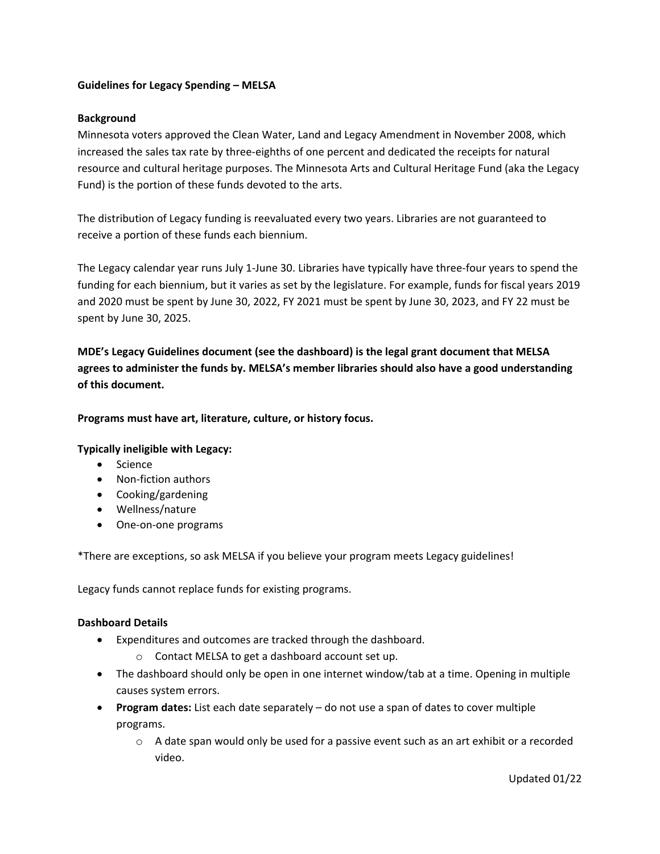#### **Guidelines for Legacy Spending – MELSA**

### **Background**

Minnesota voters approved the Clean Water, Land and Legacy Amendment in November 2008, which increased the sales tax rate by three-eighths of one percent and dedicated the receipts for natural resource and cultural heritage purposes. The Minnesota Arts and Cultural Heritage Fund (aka the Legacy Fund) is the portion of these funds devoted to the arts.

The distribution of Legacy funding is reevaluated every two years. Libraries are not guaranteed to receive a portion of these funds each biennium.

The Legacy calendar year runs July 1-June 30. Libraries have typically have three-four years to spend the funding for each biennium, but it varies as set by the legislature. For example, funds for fiscal years 2019 and 2020 must be spent by June 30, 2022, FY 2021 must be spent by June 30, 2023, and FY 22 must be spent by June 30, 2025.

**MDE's Legacy Guidelines document (see the dashboard) is the legal grant document that MELSA agrees to administer the funds by. MELSA's member libraries should also have a good understanding of this document.**

#### **Programs must have art, literature, culture, or history focus.**

#### **Typically ineligible with Legacy:**

- Science
- Non-fiction authors
- Cooking/gardening
- Wellness/nature
- One-on-one programs

\*There are exceptions, so ask MELSA if you believe your program meets Legacy guidelines!

Legacy funds cannot replace funds for existing programs.

#### **Dashboard Details**

- Expenditures and outcomes are tracked through the dashboard.
	- o Contact MELSA to get a dashboard account set up.
- The dashboard should only be open in one internet window/tab at a time. Opening in multiple causes system errors.
- **Program dates:** List each date separately do not use a span of dates to cover multiple programs.
	- $\circ$  A date span would only be used for a passive event such as an art exhibit or a recorded video.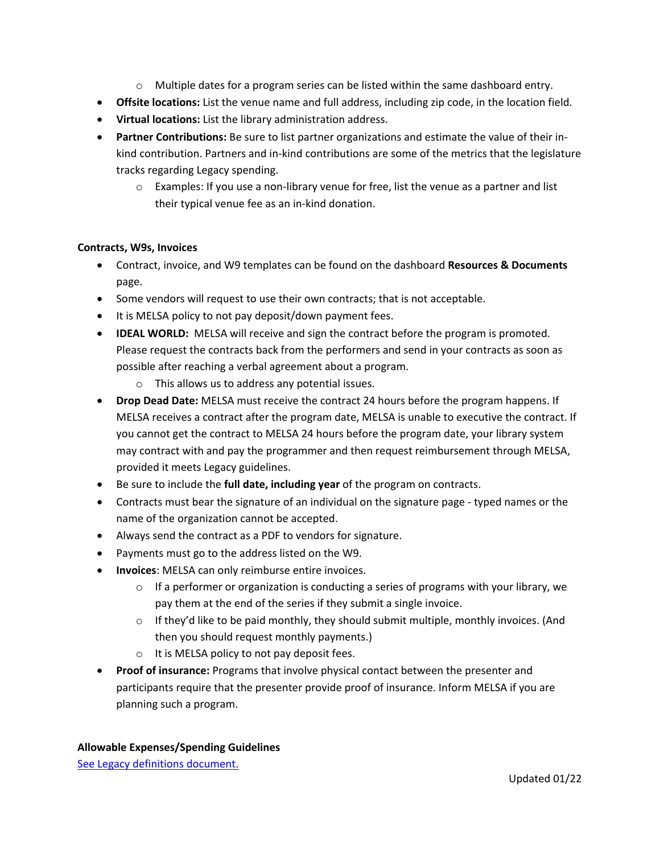- o Multiple dates for a program series can be listed within the same dashboard entry.
- **Offsite locations:** List the venue name and full address, including zip code, in the location field.
- **Virtual locations:** List the library administration address.
- **Partner Contributions:** Be sure to list partner organizations and estimate the value of their inkind contribution. Partners and in-kind contributions are some of the metrics that the legislature tracks regarding Legacy spending.
	- $\circ$  Examples: If you use a non-library venue for free, list the venue as a partner and list their typical venue fee as an in-kind donation.

# **Contracts, W9s, Invoices**

- Contract, invoice, and W9 templates can be found on the dashboard **Resources & Documents** page.
- Some vendors will request to use their own contracts; that is not acceptable.
- It is MELSA policy to not pay deposit/down payment fees.
- **IDEAL WORLD:** MELSA will receive and sign the contract before the program is promoted. Please request the contracts back from the performers and send in your contracts as soon as possible after reaching a verbal agreement about a program.
	- o This allows us to address any potential issues.
- **Drop Dead Date:** MELSA must receive the contract 24 hours before the program happens. If MELSA receives a contract after the program date, MELSA is unable to executive the contract. If you cannot get the contract to MELSA 24 hours before the program date, your library system may contract with and pay the programmer and then request reimbursement through MELSA, provided it meets Legacy guidelines.
- Be sure to include the **full date, including year** of the program on contracts.
- Contracts must bear the signature of an individual on the signature page typed names or the name of the organization cannot be accepted.
- Always send the contract as a PDF to vendors for signature.
- Payments must go to the address listed on the W9.
- **Invoices**: MELSA can only reimburse entire invoices.
	- $\circ$  If a performer or organization is conducting a series of programs with your library, we pay them at the end of the series if they submit a single invoice.
	- $\circ$  If they'd like to be paid monthly, they should submit multiple, monthly invoices. (And then you should request monthly payments.)
	- o It is MELSA policy to not pay deposit fees.
- **Proof of insurance:** Programs that involve physical contact between the presenter and participants require that the presenter provide proof of insurance. Inform MELSA if you are planning such a program.

[See Legacy definitions document.](http://melsa.org/wp-content/uploads/2020/12/ACHFLibraryLegacyDefinitionsMay13.pdf)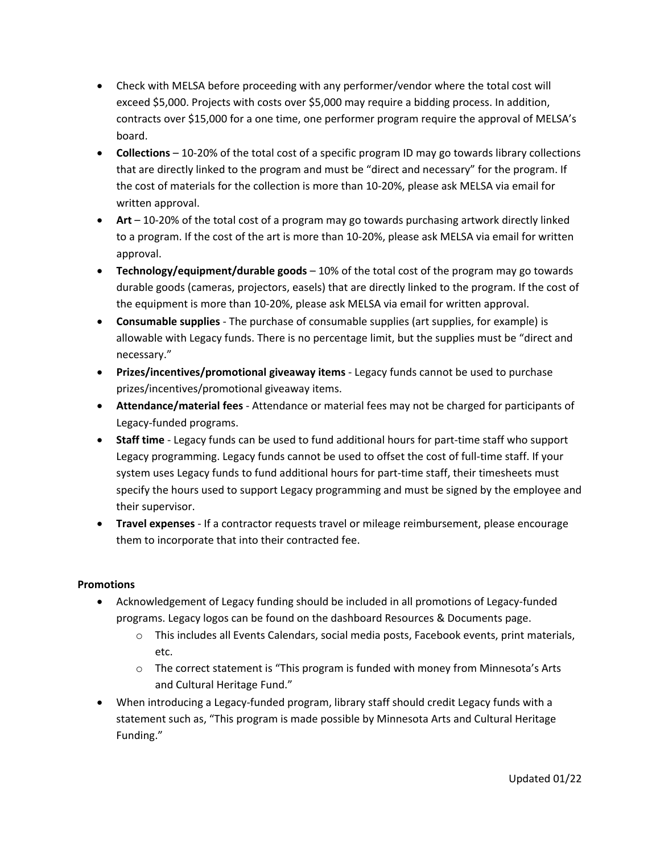- Check with MELSA before proceeding with any performer/vendor where the total cost will exceed \$5,000. Projects with costs over \$5,000 may require a bidding process. In addition, contracts over \$15,000 for a one time, one performer program require the approval of MELSA's board.
- **Collections** 10-20% of the total cost of a specific program ID may go towards library collections that are directly linked to the program and must be "direct and necessary" for the program. If the cost of materials for the collection is more than 10-20%, please ask MELSA via email for written approval.
- **Art** 10-20% of the total cost of a program may go towards purchasing artwork directly linked to a program. If the cost of the art is more than 10-20%, please ask MELSA via email for written approval.
- **Technology/equipment/durable goods** 10% of the total cost of the program may go towards durable goods (cameras, projectors, easels) that are directly linked to the program. If the cost of the equipment is more than 10-20%, please ask MELSA via email for written approval.
- **Consumable supplies** The purchase of consumable supplies (art supplies, for example) is allowable with Legacy funds. There is no percentage limit, but the supplies must be "direct and necessary."
- **Prizes/incentives/promotional giveaway items** Legacy funds cannot be used to purchase prizes/incentives/promotional giveaway items.
- **Attendance/material fees** Attendance or material fees may not be charged for participants of Legacy-funded programs.
- **Staff time** Legacy funds can be used to fund additional hours for part-time staff who support Legacy programming. Legacy funds cannot be used to offset the cost of full-time staff. If your system uses Legacy funds to fund additional hours for part-time staff, their timesheets must specify the hours used to support Legacy programming and must be signed by the employee and their supervisor.
- **Travel expenses** If a contractor requests travel or mileage reimbursement, please encourage them to incorporate that into their contracted fee.

# **Promotions**

- Acknowledgement of Legacy funding should be included in all promotions of Legacy-funded programs. Legacy logos can be found on the dashboard Resources & Documents page.
	- o This includes all Events Calendars, social media posts, Facebook events, print materials, etc.
	- $\circ$  The correct statement is "This program is funded with money from Minnesota's Arts and Cultural Heritage Fund."
- When introducing a Legacy-funded program, library staff should credit Legacy funds with a statement such as, "This program is made possible by Minnesota Arts and Cultural Heritage Funding."